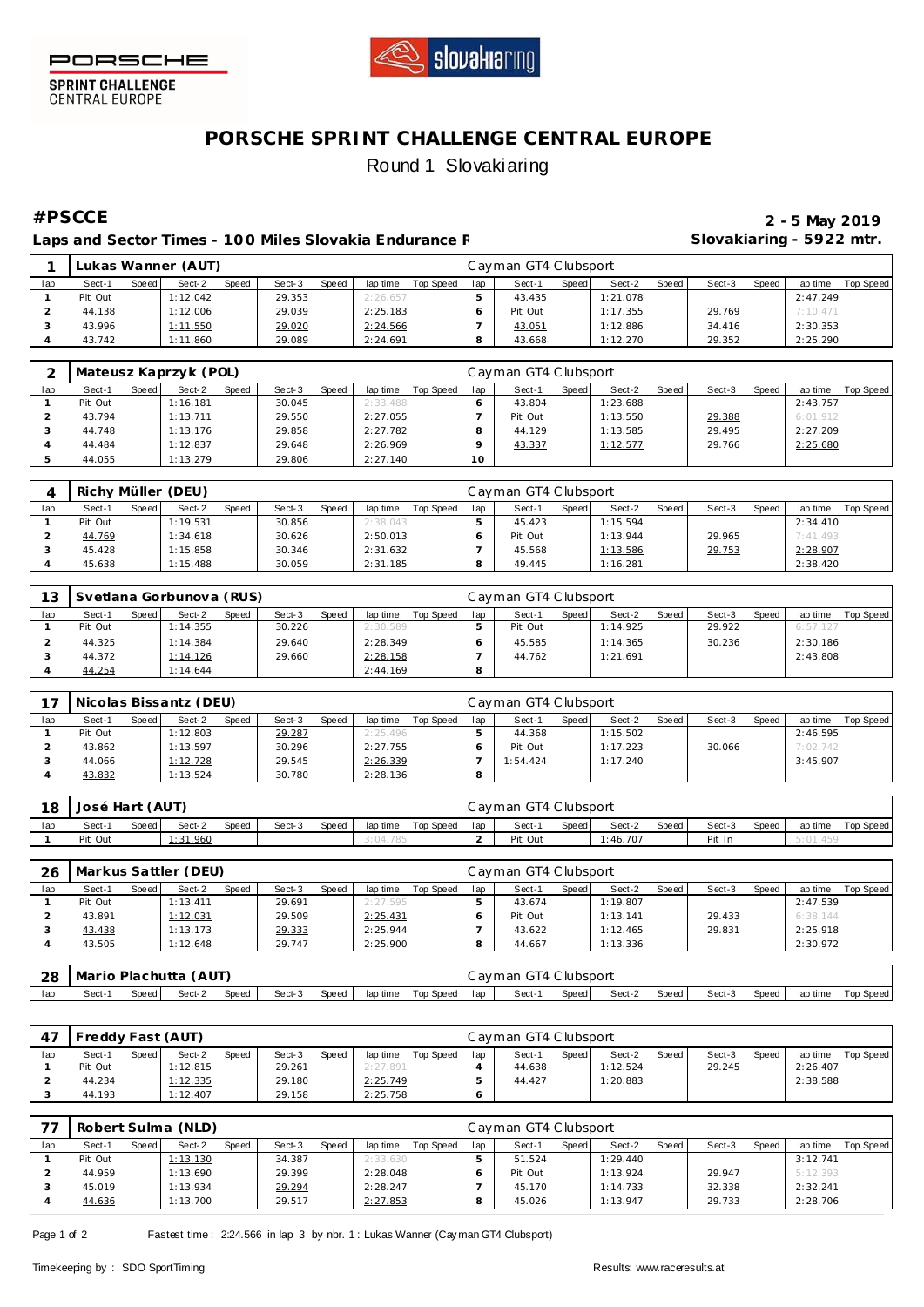



**SPRINT CHALLENGE**<br>CENTRAL EUROPE

## **PORSCHE SPRINT CHALLENGE CENTRAL EUROPE** Round 1 Slovakiaring

Laps and Sector Times - 100 Miles Slovakia Endurance F **And Slovakiaring - 5922 mtr.** 

**#PSCCE 2 - 5 May 2019**

|     |         |         | Lukas Wanner (AUT) |              |        |       |          |           |     | Cayman GT4 Clubsport |       |          |       |        |              |          |           |
|-----|---------|---------|--------------------|--------------|--------|-------|----------|-----------|-----|----------------------|-------|----------|-------|--------|--------------|----------|-----------|
| lap | Sect-1  | Speed I | Sect-2             | <b>Speed</b> | Sect-3 | Speed | lap time | Top Speed | lap | Sect-1               | Speed | Sect-2   | Speed | Sect-3 | <b>Speed</b> | lap time | Top Speed |
|     | Pit Out |         | 1:12.042           |              | 29.353 |       | 2:26.657 |           |     | 43.435               |       | 1:21.078 |       |        |              | 2:47.249 |           |
|     | 44.138  |         | 1:12.006           |              | 29.039 |       | 2:25.183 |           |     | Pit Out              |       | 1:17.355 |       | 29.769 |              | 7:10.471 |           |
|     | 43.996  |         | 1:11.550           |              | 29.020 |       | 2:24.566 |           |     | 43.051               |       | 1:12.886 |       | 34.416 |              | 2:30.353 |           |
|     | 43.742  |         | 1:11.860           |              | 29.089 |       | 2:24.691 |           |     | 43.668               |       | 1:12.270 |       | 29.352 |              | 2:25.290 |           |

|     |         |       | Mateusz Kaprzyk (POL) |       |        |       |          |           |     | Cayman GT4 Clubsport |         |          |       |        |       |          |           |
|-----|---------|-------|-----------------------|-------|--------|-------|----------|-----------|-----|----------------------|---------|----------|-------|--------|-------|----------|-----------|
| lap | Sect-1  | Speed | Sect-2                | Speed | Sect-3 | Speed | lap time | Top Speed | lap | Sect-1               | Speed I | Sect-2   | Speed | Sect-3 | Speed | lap time | Top Speed |
|     | Pit Out |       | 1:16.181              |       | 30.045 |       | 2:33.488 |           |     | 43.804               |         | 1:23.688 |       |        |       | 2:43.757 |           |
|     | 43.794  |       | 1:13.711              |       | 29.550 |       | 2:27.055 |           |     | Pit Out              |         | 1:13.550 |       | 29.388 |       | 6:01.912 |           |
|     | 44.748  |       | 1:13.176              |       | 29.858 |       | 2:27.782 |           |     | 44.129               |         | 1:13.585 |       | 29.495 |       | 2:27.209 |           |
|     | 44.484  |       | 1:12.837              |       | 29.648 |       | 2:26.969 |           |     | 43.337               |         | 1:12.577 |       | 29.766 |       | 2:25.680 |           |
|     | 44.055  |       | 1:13.279              |       | 29.806 |       | 2:27.140 |           | 10  |                      |         |          |       |        |       |          |           |

|     | Richy Müller (DEU) |       |          |              |        |       |          |           |     | Cayman GT4 Clubsport |       |          |       |        |       |          |           |
|-----|--------------------|-------|----------|--------------|--------|-------|----------|-----------|-----|----------------------|-------|----------|-------|--------|-------|----------|-----------|
| lap | Sect-1             | Speed | Sect-2   | <b>Speed</b> | Sect-3 | Speed | lap time | Top Speed | lap | Sect-                | Speed | Sect-2   | Speed | Sect-3 | Speed | lap time | Top Speed |
|     | Pit Out            |       | 1:19.531 |              | 30.856 |       | 2:38.043 |           |     | 45.423               |       | 1:15.594 |       |        |       | 2:34.410 |           |
|     | 44.769             |       | 1:34.618 |              | 30.626 |       | 2:50.013 |           |     | Pit Out              |       | 1:13.944 |       | 29.965 |       | 7:41.493 |           |
|     | 45.428             |       | 1:15.858 |              | 30.346 |       | 2:31.632 |           |     | 45.568               |       | 1:13.586 |       | 29.753 |       | 2:28.907 |           |
|     | 45.638             |       | 1:15.488 |              | 30.059 |       | 2:31.185 |           |     | 49.445               |       | 1:16.281 |       |        |       | 2:38.420 |           |

| 13  |         |       | Svetlana Gorbunova (RUS) |       |        |       |          |           |     | Cayman GT4 Clubsport |         |          |       |        |              |          |           |
|-----|---------|-------|--------------------------|-------|--------|-------|----------|-----------|-----|----------------------|---------|----------|-------|--------|--------------|----------|-----------|
| lap | Sect-1  | Speed | Sect-2                   | Speed | Sect-3 | Speed | lap time | Top Speed | lap | Sect-1               | Speed I | Sect-2   | Speed | Sect-3 | <b>Speed</b> | lap time | Top Speed |
|     | Pit Out |       | 1:14.355                 |       | 30.226 |       | 2:30.589 |           |     | Pit Out              |         | 1:14.925 |       | 29.922 |              | 6:57.127 |           |
|     | 44.325  |       | 1:14.384                 |       | 29.640 |       | 2:28.349 |           |     | 45.585               |         | 1:14.365 |       | 30.236 |              | 2:30.186 |           |
|     | 44.372  |       | 1:14.126                 |       | 29.660 |       | 2:28.158 |           |     | 44.762               |         | 1:21.691 |       |        |              | 2:43.808 |           |
|     | 44.254  |       | 1:14.644                 |       |        |       | 2:44.169 |           | 8   |                      |         |          |       |        |              |          |           |

| 17  |         |       | Nicolas Bissantz (DEU) |       |        |       |          |           |         | Cayman GT4 Clubsport |       |          |       |        |       |          |           |
|-----|---------|-------|------------------------|-------|--------|-------|----------|-----------|---------|----------------------|-------|----------|-------|--------|-------|----------|-----------|
| lap | Sect-1  | Speed | Sect-2                 | Speed | Sect-3 | Speed | lap time | Top Speed | lap     | Sect-1               | Speed | Sect-2   | Speed | Sect-3 | Speed | lap time | Top Speed |
|     | Pit Out |       | 1:12.803               |       | 29.287 |       | 2:25.496 |           |         | 44.368               |       | 1:15.502 |       |        |       | 2:46.595 |           |
|     | 43.862  |       | 1:13.597               |       | 30.296 |       | 2:27.755 |           |         | Pit Out              |       | 1:17.223 |       | 30.066 |       | 7:02.742 |           |
|     | 44.066  |       | 1:12.728               |       | 29.545 |       | 2:26.339 |           |         | 1:54.424             |       | 1:17.240 |       |        |       | 3:45.907 |           |
|     | 43.832  |       | : 13.524               |       | 30.780 |       | 2:28.136 |           | $\circ$ |                      |       |          |       |        |       |          |           |

| 18  | José Hart (AUT) |       |         |              |        |       |          |           |     | Cayman GT4 Clubsport |       |          |       |        |       |          |           |
|-----|-----------------|-------|---------|--------------|--------|-------|----------|-----------|-----|----------------------|-------|----------|-------|--------|-------|----------|-----------|
| lap | Sect-1          | Speed | Sect-2  | <b>Speed</b> | Sect-3 | Speed | lap time | Top Speed | lap | Sect-1               | Speed | Sect-2   | Speed | Sect-3 | Speed | lap time | Top Speed |
|     | Pit Out         |       | :31.960 |              |        |       | 3:04.785 |           |     | Pit Out              |       | 1:46.707 |       | Pit In |       | .459     |           |

| 26  |         |       | Markus Sattler (DEU) |              |        |       |          |           |     | Cayman GT4 Clubsport |       |          |       |        |              |          |           |
|-----|---------|-------|----------------------|--------------|--------|-------|----------|-----------|-----|----------------------|-------|----------|-------|--------|--------------|----------|-----------|
| lap | Sect-1  | Speed | Sect-2               | <b>Speed</b> | Sect-3 | Speed | lap time | Top Speed | lan | Sect-1               | Speed | Sect-2   | Speed | Sect-3 | <b>Speed</b> | lap time | Top Speed |
|     | Pit Out |       | 1:13.411             |              | 29.691 |       | 2:27.595 |           |     | 43.674               |       | 1:19.807 |       |        |              | 2:47.539 |           |
|     | 43.891  |       | 1:12.031             |              | 29.509 |       | 2:25.431 |           |     | Pit Out              |       | 1:13.141 |       | 29.433 |              | 6:38.144 |           |
|     | 43.438  |       | 1:13.173             |              | 29.333 |       | 2:25.944 |           |     | 43.622               |       | 1:12.465 |       | 29.831 |              | 2:25.918 |           |
|     | 43.505  |       | 1:12.648             |              | 29.747 |       | 2:25.900 |           |     | 44.667               |       | 1:13.336 |       |        |              | 2:30.972 |           |

| - 28 | l Mario Plachutta (AUT) |       |        |       |        |       |          |           |     | Cayman GT4 Clubsport |       |        |       |        |       |          |           |
|------|-------------------------|-------|--------|-------|--------|-------|----------|-----------|-----|----------------------|-------|--------|-------|--------|-------|----------|-----------|
| lap  | Sect-                   | Speed | Sect-2 | Speed | Sect-3 | Speed | lap time | Top Speed | lap | Sect-1               | Speed | Sect-2 | Speed | Sect-3 | Speed | lap time | Top Speed |

|     | Freddy Fast (AUT) |       |          |              |        |       |          |           |     | Cayman GT4 Clubsport |       |          |       |        |       |          |           |
|-----|-------------------|-------|----------|--------------|--------|-------|----------|-----------|-----|----------------------|-------|----------|-------|--------|-------|----------|-----------|
| lap | Sect-1            | Speed | Sect-2   | <b>Speed</b> | Sect-3 | Speed | lap time | Top Speed | lap | Sect-1               | Speed | Sect-2   | Speed | Sect-3 | Speed | lap time | Top Speed |
|     | Pit Out           |       | 1:12.815 |              | 29.261 |       | 2:27.891 |           |     | 44.638               |       | 1:12.524 |       | 29.245 |       | 2:26.407 |           |
|     | 44.234            |       | 1:12.335 |              | 29.180 |       | 2:25.749 |           |     | 44.427               |       | 1:20.883 |       |        |       | 2:38.588 |           |
|     | 44.193            |       | 1:12.407 |              | 29.158 |       | 2:25.758 |           |     |                      |       |          |       |        |       |          |           |

| ュー  |         |       | Robert Sulma (NLD) |       |        |       |          |           |         | Cayman GT4 Clubsport |       |          |       |        |       |          |                  |
|-----|---------|-------|--------------------|-------|--------|-------|----------|-----------|---------|----------------------|-------|----------|-------|--------|-------|----------|------------------|
| lap | Sect-1  | Speed | Sect-2             | Speed | Sect-3 | Speed | lap time | Top Speed | lap     | Sect-1               | Speed | Sect-2   | Speed | Sect-3 | Speed | lap time | <b>Top Speed</b> |
|     | Pit Out |       | 1:13.130           |       | 34.387 |       | 2:33.630 |           |         | 51.524               |       | 1:29.440 |       |        |       | 3:12.741 |                  |
|     | 44.959  |       | 1:13.690           |       | 29.399 |       | 2:28.048 |           |         | Pit Out              |       | 1:13.924 |       | 29.947 |       | 5:12.393 |                  |
|     | 45.019  |       | 1:13.934           |       | 29.294 |       | 2:28.247 |           |         | 45.170               |       | 1:14.733 |       | 32.338 |       | 2:32.241 |                  |
|     | 44.636  |       | 1:13.700           |       | 29.517 |       | 2:27.853 |           | $\circ$ | 45.026               |       | 1:13.947 |       | 29.733 |       | 2:28.706 |                  |

Page 1 of 2 Fastest time : 2:24.566 in lap 3 by nbr. 1 : Lukas Wanner (Cay man GT4 Clubsport)